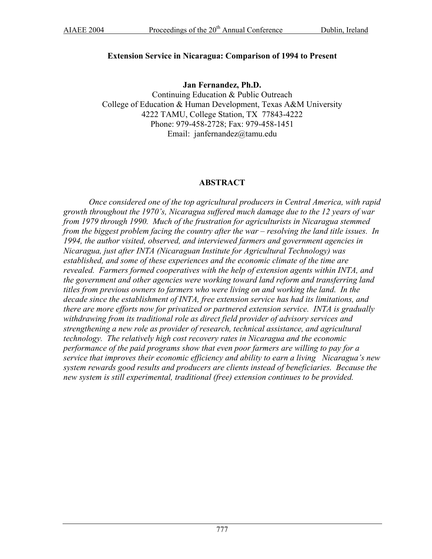### **Extension Service in Nicaragua: Comparison of 1994 to Present**

**Jan Fernandez, Ph.D.**  Continuing Education & Public Outreach College of Education & Human Development, Texas A&M University 4222 TAMU, College Station, TX 77843-4222 Phone: 979-458-2728; Fax: 979-458-1451 Email: janfernandez@tamu.edu

# **ABSTRACT**

*Once considered one of the top agricultural producers in Central America, with rapid growth throughout the 1970's, Nicaragua suffered much damage due to the 12 years of war from 1979 through 1990. Much of the frustration for agriculturists in Nicaragua stemmed from the biggest problem facing the country after the war – resolving the land title issues. In 1994, the author visited, observed, and interviewed farmers and government agencies in Nicaragua, just after INTA (Nicaraguan Institute for Agricultural Technology) was established, and some of these experiences and the economic climate of the time are revealed. Farmers formed cooperatives with the help of extension agents within INTA, and the government and other agencies were working toward land reform and transferring land titles from previous owners to farmers who were living on and working the land. In the decade since the establishment of INTA, free extension service has had its limitations, and there are more efforts now for privatized or partnered extension service. INTA is gradually withdrawing from its traditional role as direct field provider of advisory services and strengthening a new role as provider of research, technical assistance, and agricultural technology. The relatively high cost recovery rates in Nicaragua and the economic performance of the paid programs show that even poor farmers are willing to pay for a service that improves their economic efficiency and ability to earn a living Nicaragua's new system rewards good results and producers are clients instead of beneficiaries. Because the new system is still experimental, traditional (free) extension continues to be provided.*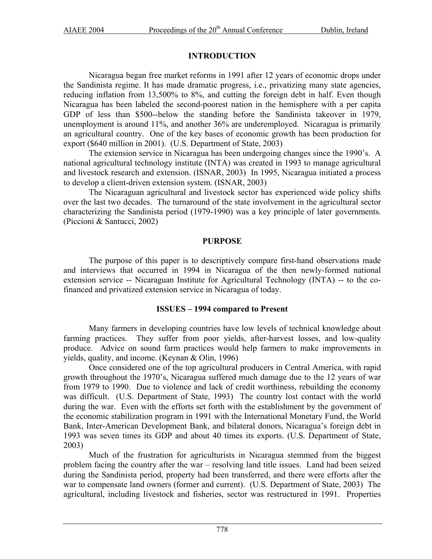# **INTRODUCTION**

Nicaragua began free market reforms in 1991 after 12 years of economic drops under the Sandinista regime. It has made dramatic progress, i.e., privatizing many state agencies, reducing inflation from 13,500% to 8%, and cutting the foreign debt in half. Even though Nicaragua has been labeled the second-poorest nation in the hemisphere with a per capita GDP of less than \$500--below the standing before the Sandinista takeover in 1979, unemployment is around 11%, and another 36% are underemployed. Nicaragua is primarily an agricultural country. One of the key bases of economic growth has been production for export (\$640 million in 2001). (U.S. Department of State, 2003)

The extension service in Nicaragua has been undergoing changes since the 1990's. A national agricultural technology institute (INTA) was created in 1993 to manage agricultural and livestock research and extension. (ISNAR, 2003) In 1995, Nicaragua initiated a process to develop a client-driven extension system. (ISNAR, 2003)

The Nicaraguan agricultural and livestock sector has experienced wide policy shifts over the last two decades. The turnaround of the state involvement in the agricultural sector characterizing the Sandinista period (1979-1990) was a key principle of later governments. (Piccioni & Santucci, 2002)

### **PURPOSE**

The purpose of this paper is to descriptively compare first-hand observations made and interviews that occurred in 1994 in Nicaragua of the then newly-formed national extension service -- Nicaraguan Institute for Agricultural Technology (INTA) -- to the cofinanced and privatized extension service in Nicaragua of today.

## **ISSUES – 1994 compared to Present**

Many farmers in developing countries have low levels of technical knowledge about farming practices. They suffer from poor yields, after-harvest losses, and low-quality produce. Advice on sound farm practices would help farmers to make improvements in yields, quality, and income. (Keynan & Olin, 1996)

Once considered one of the top agricultural producers in Central America, with rapid growth throughout the 1970's, Nicaragua suffered much damage due to the 12 years of war from 1979 to 1990. Due to violence and lack of credit worthiness, rebuilding the economy was difficult. (U.S. Department of State, 1993) The country lost contact with the world during the war. Even with the efforts set forth with the establishment by the government of the economic stabilization program in 1991 with the International Monetary Fund, the World Bank, Inter-American Development Bank, and bilateral donors, Nicaragua's foreign debt in 1993 was seven times its GDP and about 40 times its exports. (U.S. Department of State, 2003)

Much of the frustration for agriculturists in Nicaragua stemmed from the biggest problem facing the country after the war – resolving land title issues. Land had been seized during the Sandinista period, property had been transferred, and there were efforts after the war to compensate land owners (former and current). (U.S. Department of State, 2003) The agricultural, including livestock and fisheries, sector was restructured in 1991. Properties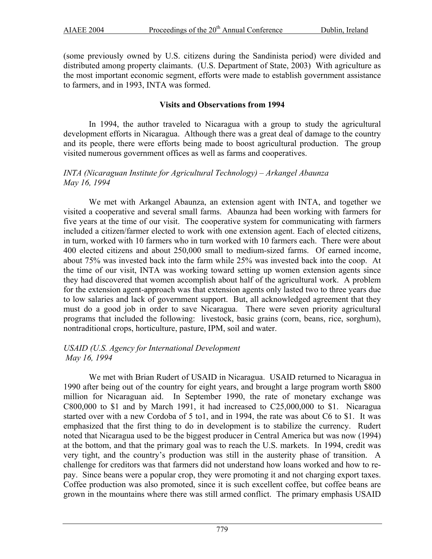(some previously owned by U.S. citizens during the Sandinista period) were divided and distributed among property claimants. (U.S. Department of State, 2003) With agriculture as the most important economic segment, efforts were made to establish government assistance to farmers, and in 1993, INTA was formed.

### **Visits and Observations from 1994**

In 1994, the author traveled to Nicaragua with a group to study the agricultural development efforts in Nicaragua. Although there was a great deal of damage to the country and its people, there were efforts being made to boost agricultural production. The group visited numerous government offices as well as farms and cooperatives.

### *INTA (Nicaraguan Institute for Agricultural Technology) – Arkangel Abaunza May 16, 1994*

We met with Arkangel Abaunza, an extension agent with INTA, and together we visited a cooperative and several small farms. Abaunza had been working with farmers for five years at the time of our visit. The cooperative system for communicating with farmers included a citizen/farmer elected to work with one extension agent. Each of elected citizens, in turn, worked with 10 farmers who in turn worked with 10 farmers each. There were about 400 elected citizens and about 250,000 small to medium-sized farms. Of earned income, about 75% was invested back into the farm while 25% was invested back into the coop. At the time of our visit, INTA was working toward setting up women extension agents since they had discovered that women accomplish about half of the agricultural work. A problem for the extension agent-approach was that extension agents only lasted two to three years due to low salaries and lack of government support. But, all acknowledged agreement that they must do a good job in order to save Nicaragua. There were seven priority agricultural programs that included the following: livestock, basic grains (corn, beans, rice, sorghum), nontraditional crops, horticulture, pasture, IPM, soil and water.

### *USAID (U.S. Agency for International Development May 16, 1994*

We met with Brian Rudert of USAID in Nicaragua. USAID returned to Nicaragua in 1990 after being out of the country for eight years, and brought a large program worth \$800 million for Nicaraguan aid. In September 1990, the rate of monetary exchange was C800,000 to \$1 and by March 1991, it had increased to C25,000,000 to \$1. Nicaragua started over with a new Cordoba of 5 to1, and in 1994, the rate was about C6 to \$1. It was emphasized that the first thing to do in development is to stabilize the currency. Rudert noted that Nicaragua used to be the biggest producer in Central America but was now (1994) at the bottom, and that the primary goal was to reach the U.S. markets. In 1994, credit was very tight, and the country's production was still in the austerity phase of transition. A challenge for creditors was that farmers did not understand how loans worked and how to repay. Since beans were a popular crop, they were promoting it and not charging export taxes. Coffee production was also promoted, since it is such excellent coffee, but coffee beans are grown in the mountains where there was still armed conflict. The primary emphasis USAID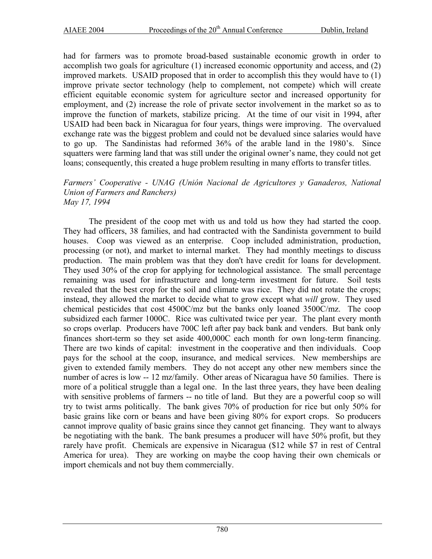had for farmers was to promote broad-based sustainable economic growth in order to accomplish two goals for agriculture (1) increased economic opportunity and access, and (2) improved markets. USAID proposed that in order to accomplish this they would have to (1) improve private sector technology (help to complement, not compete) which will create efficient equitable economic system for agriculture sector and increased opportunity for employment, and (2) increase the role of private sector involvement in the market so as to improve the function of markets, stabilize pricing. At the time of our visit in 1994, after USAID had been back in Nicaragua for four years, things were improving. The overvalued exchange rate was the biggest problem and could not be devalued since salaries would have to go up. The Sandinistas had reformed 36% of the arable land in the 1980's. Since squatters were farming land that was still under the original owner's name, they could not get loans; consequently, this created a huge problem resulting in many efforts to transfer titles.

#### *Farmers' Cooperative - UNAG (Unión Nacional de Agricultores y Ganaderos, National Union of Farmers and Ranchers) May 17, 1994*

The president of the coop met with us and told us how they had started the coop. They had officers, 38 families, and had contracted with the Sandinista government to build houses. Coop was viewed as an enterprise. Coop included administration, production, processing (or not), and market to internal market. They had monthly meetings to discuss production. The main problem was that they don't have credit for loans for development. They used 30% of the crop for applying for technological assistance. The small percentage remaining was used for infrastructure and long-term investment for future. Soil tests revealed that the best crop for the soil and climate was rice. They did not rotate the crops; instead, they allowed the market to decide what to grow except what *will* grow. They used chemical pesticides that cost 4500C/mz but the banks only loaned 3500C/mz. The coop subsidized each farmer 1000C. Rice was cultivated twice per year. The plant every month so crops overlap. Producers have 700C left after pay back bank and venders. But bank only finances short-term so they set aside 400,000C each month for own long-term financing. There are two kinds of capital: investment in the cooperative and then individuals. Coop pays for the school at the coop, insurance, and medical services. New memberships are given to extended family members. They do not accept any other new members since the number of acres is low -- 12 mz/family. Other areas of Nicaragua have 50 families. There is more of a political struggle than a legal one. In the last three years, they have been dealing with sensitive problems of farmers -- no title of land. But they are a powerful coop so will try to twist arms politically. The bank gives 70% of production for rice but only 50% for basic grains like corn or beans and have been giving 80% for export crops. So producers cannot improve quality of basic grains since they cannot get financing. They want to always be negotiating with the bank. The bank presumes a producer will have 50% profit, but they rarely have profit. Chemicals are expensive in Nicaragua (\$12 while \$7 in rest of Central America for urea). They are working on maybe the coop having their own chemicals or import chemicals and not buy them commercially.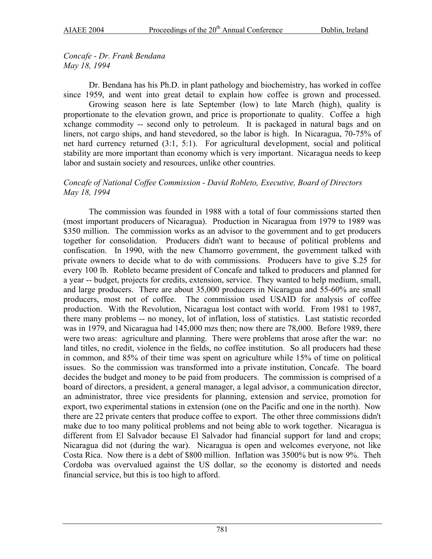*Concafe - Dr. Frank Bendana May 18, 1994* 

Dr. Bendana has his Ph.D. in plant pathology and biochemistry, has worked in coffee since 1959, and went into great detail to explain how coffee is grown and processed.

Growing season here is late September (low) to late March (high), quality is proportionate to the elevation grown, and price is proportionate to quality. Coffee a high xchange commodity -- second only to petroleum. It is packaged in natural bags and on liners, not cargo ships, and hand stevedored, so the labor is high. In Nicaragua, 70-75% of net hard currency returned (3:1, 5:1). For agricultural development, social and political stability are more important than economy which is very important. Nicaragua needs to keep labor and sustain society and resources, unlike other countries.

### *Concafe of National Coffee Commission - David Robleto, Executive, Board of Directors May 18, 1994*

The commission was founded in 1988 with a total of four commissions started then (most important producers of Nicaragua). Production in Nicaragua from 1979 to 1989 was \$350 million. The commission works as an advisor to the government and to get producers together for consolidation. Producers didn't want to because of political problems and confiscation. In 1990, with the new Chamorro government, the government talked with private owners to decide what to do with commissions. Producers have to give \$.25 for every 100 lb. Robleto became president of Concafe and talked to producers and planned for a year -- budget, projects for credits, extension, service. They wanted to help medium, small, and large producers. There are about 35,000 producers in Nicaragua and 55-60% are small producers, most not of coffee. The commission used USAID for analysis of coffee production. With the Revolution, Nicaragua lost contact with world. From 1981 to 1987, there many problems -- no money, lot of inflation, loss of statistics. Last statistic recorded was in 1979, and Nicaragua had 145,000 mzs then; now there are 78,000. Before 1989, there were two areas: agriculture and planning. There were problems that arose after the war: no land titles, no credit, violence in the fields, no coffee institution. So all producers had these in common, and 85% of their time was spent on agriculture while 15% of time on political issues. So the commission was transformed into a private institution, Concafe. The board decides the budget and money to be paid from producers. The commission is comprised of a board of directors, a president, a general manager, a legal advisor, a communication director, an administrator, three vice presidents for planning, extension and service, promotion for export, two experimental stations in extension (one on the Pacific and one in the north). Now there are 22 private centers that produce coffee to export. The other three commissions didn't make due to too many political problems and not being able to work together. Nicaragua is different from El Salvador because El Salvador had financial support for land and crops; Nicaragua did not (during the war). Nicaragua is open and welcomes everyone, not like Costa Rica. Now there is a debt of \$800 million. Inflation was 3500% but is now 9%. Theh Cordoba was overvalued against the US dollar, so the economy is distorted and needs financial service, but this is too high to afford.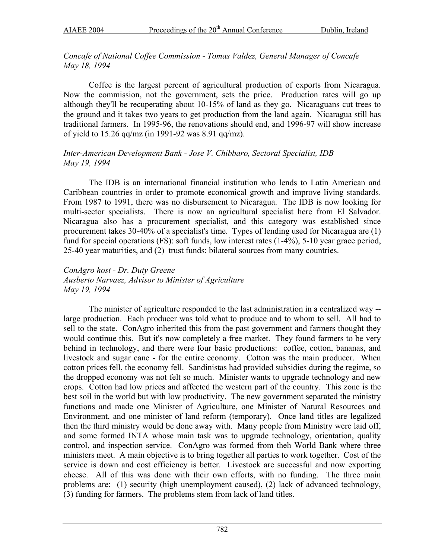# *Concafe of National Coffee Commission - Tomas Valdez, General Manager of Concafe May 18, 1994*

Coffee is the largest percent of agricultural production of exports from Nicaragua. Now the commission, not the government, sets the price. Production rates will go up although they'll be recuperating about 10-15% of land as they go. Nicaraguans cut trees to the ground and it takes two years to get production from the land again. Nicaragua still has traditional farmers. In 1995-96, the renovations should end, and 1996-97 will show increase of yield to 15.26 qq/mz (in 1991-92 was 8.91 qq/mz).

# *Inter-American Development Bank - Jose V. Chibbaro, Sectoral Specialist, IDB May 19, 1994*

The IDB is an international financial institution who lends to Latin American and Caribbean countries in order to promote economical growth and improve living standards. From 1987 to 1991, there was no disbursement to Nicaragua. The IDB is now looking for multi-sector specialists. There is now an agricultural specialist here from El Salvador. Nicaragua also has a procurement specialist, and this category was established since procurement takes 30-40% of a specialist's time. Types of lending used for Nicaragua are (1) fund for special operations (FS): soft funds, low interest rates (1-4%), 5-10 year grace period, 25-40 year maturities, and (2) trust funds: bilateral sources from many countries.

# *ConAgro host - Dr. Duty Greene Ausberto Narvaez, Advisor to Minister of Agriculture May 19, 1994*

The minister of agriculture responded to the last administration in a centralized way - large production. Each producer was told what to produce and to whom to sell. All had to sell to the state. ConAgro inherited this from the past government and farmers thought they would continue this. But it's now completely a free market. They found farmers to be very behind in technology, and there were four basic productions: coffee, cotton, bananas, and livestock and sugar cane - for the entire economy. Cotton was the main producer. When cotton prices fell, the economy fell. Sandinistas had provided subsidies during the regime, so the dropped economy was not felt so much. Minister wants to upgrade technology and new crops. Cotton had low prices and affected the western part of the country. This zone is the best soil in the world but with low productivity. The new government separated the ministry functions and made one Minister of Agriculture, one Minister of Natural Resources and Environment, and one minister of land reform (temporary). Once land titles are legalized then the third ministry would be done away with. Many people from Ministry were laid off, and some formed INTA whose main task was to upgrade technology, orientation, quality control, and inspection service. ConAgro was formed from theh World Bank where three ministers meet. A main objective is to bring together all parties to work together. Cost of the service is down and cost efficiency is better. Livestock are successful and now exporting cheese. All of this was done with their own efforts, with no funding. The three main problems are: (1) security (high unemployment caused), (2) lack of advanced technology, (3) funding for farmers. The problems stem from lack of land titles.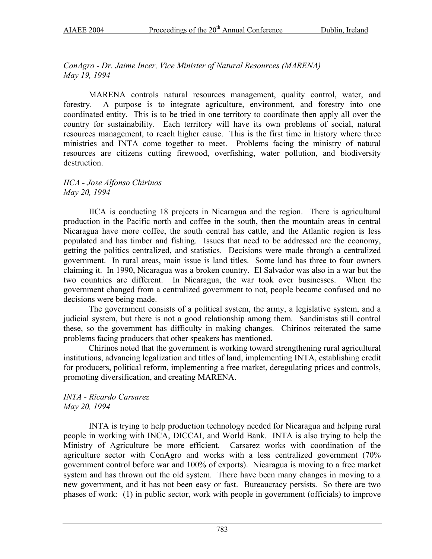*ConAgro - Dr. Jaime Incer, Vice Minister of Natural Resources (MARENA) May 19, 1994* 

MARENA controls natural resources management, quality control, water, and forestry. A purpose is to integrate agriculture, environment, and forestry into one coordinated entity. This is to be tried in one territory to coordinate then apply all over the country for sustainability. Each territory will have its own problems of social, natural resources management, to reach higher cause. This is the first time in history where three ministries and INTA come together to meet. Problems facing the ministry of natural resources are citizens cutting firewood, overfishing, water pollution, and biodiversity destruction.

*IICA - Jose Alfonso Chirinos May 20, 1994* 

IICA is conducting 18 projects in Nicaragua and the region. There is agricultural production in the Pacific north and coffee in the south, then the mountain areas in central Nicaragua have more coffee, the south central has cattle, and the Atlantic region is less populated and has timber and fishing. Issues that need to be addressed are the economy, getting the politics centralized, and statistics. Decisions were made through a centralized government. In rural areas, main issue is land titles. Some land has three to four owners claiming it. In 1990, Nicaragua was a broken country. El Salvador was also in a war but the two countries are different. In Nicaragua, the war took over businesses. When the government changed from a centralized government to not, people became confused and no decisions were being made.

The government consists of a political system, the army, a legislative system, and a judicial system, but there is not a good relationship among them. Sandinistas still control these, so the government has difficulty in making changes. Chirinos reiterated the same problems facing producers that other speakers has mentioned.

Chirinos noted that the government is working toward strengthening rural agricultural institutions, advancing legalization and titles of land, implementing INTA, establishing credit for producers, political reform, implementing a free market, deregulating prices and controls, promoting diversification, and creating MARENA.

### *INTA - Ricardo Carsarez May 20, 1994*

INTA is trying to help production technology needed for Nicaragua and helping rural people in working with INCA, DICCAI, and World Bank. INTA is also trying to help the Ministry of Agriculture be more efficient. Carsarez works with coordination of the agriculture sector with ConAgro and works with a less centralized government (70% government control before war and 100% of exports). Nicaragua is moving to a free market system and has thrown out the old system. There have been many changes in moving to a new government, and it has not been easy or fast. Bureaucracy persists. So there are two phases of work: (1) in public sector, work with people in government (officials) to improve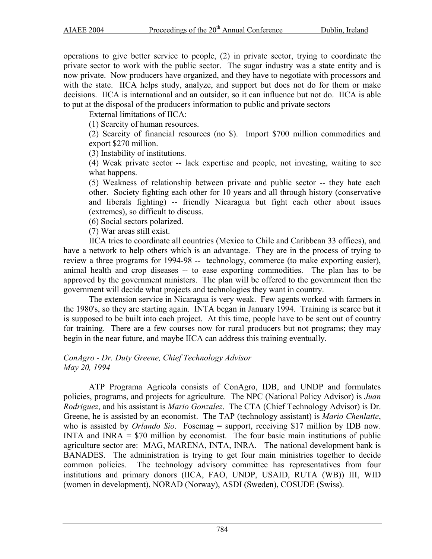operations to give better service to people, (2) in private sector, trying to coordinate the private sector to work with the public sector. The sugar industry was a state entity and is now private. Now producers have organized, and they have to negotiate with processors and with the state. IICA helps study, analyze, and support but does not do for them or make decisions. IICA is international and an outsider, so it can influence but not do. IICA is able to put at the disposal of the producers information to public and private sectors

External limitations of IICA:

(1) Scarcity of human resources.

(2) Scarcity of financial resources (no \$). Import \$700 million commodities and export \$270 million.

(3) Instability of institutions.

(4) Weak private sector -- lack expertise and people, not investing, waiting to see what happens.

(5) Weakness of relationship between private and public sector -- they hate each other. Society fighting each other for 10 years and all through history (conservative and liberals fighting) -- friendly Nicaragua but fight each other about issues (extremes), so difficult to discuss.

(6) Social sectors polarized.

(7) War areas still exist.

IICA tries to coordinate all countries (Mexico to Chile and Caribbean 33 offices), and have a network to help others which is an advantage. They are in the process of trying to review a three programs for 1994-98 -- technology, commerce (to make exporting easier), animal health and crop diseases -- to ease exporting commodities. The plan has to be approved by the government ministers. The plan will be offered to the government then the government will decide what projects and technologies they want in country.

The extension service in Nicaragua is very weak. Few agents worked with farmers in the 1980's, so they are starting again. INTA began in January 1994. Training is scarce but it is supposed to be built into each project. At this time, people have to be sent out of country for training. There are a few courses now for rural producers but not programs; they may begin in the near future, and maybe IICA can address this training eventually.

#### *ConAgro - Dr. Duty Greene, Chief Technology Advisor May 20, 1994*

ATP Programa Agricola consists of ConAgro, IDB, and UNDP and formulates policies, programs, and projects for agriculture. The NPC (National Policy Advisor) is *Juan Rodriguez*, and his assistant is *Mario Gonzalez*. The CTA (Chief Technology Advisor) is Dr. Greene, he is assisted by an economist. The TAP (technology assistant) is *Mario Chenlatte*, who is assisted by *Orlando Sio*. Fosemag = support, receiving \$17 million by IDB now. INTA and INRA  $=$  \$70 million by economist. The four basic main institutions of public agriculture sector are: MAG, MARENA, INTA, INRA. The national development bank is BANADES. The administration is trying to get four main ministries together to decide common policies. The technology advisory committee has representatives from four institutions and primary donors (IICA, FAO, UNDP, USAID, RUTA (WB)) III, WID (women in development), NORAD (Norway), ASDI (Sweden), COSUDE (Swiss).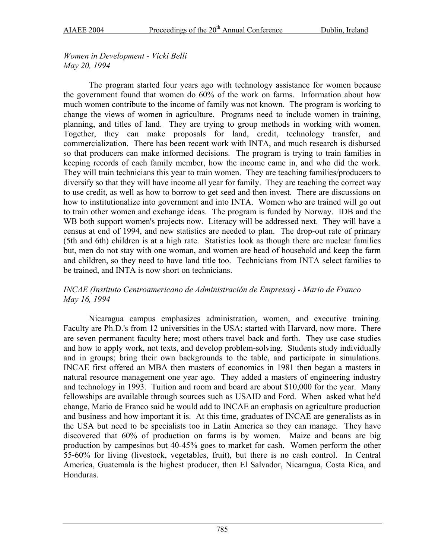*Women in Development - Vicki Belli May 20, 1994* 

The program started four years ago with technology assistance for women because the government found that women do 60% of the work on farms. Information about how much women contribute to the income of family was not known. The program is working to change the views of women in agriculture. Programs need to include women in training, planning, and titles of land. They are trying to group methods in working with women. Together, they can make proposals for land, credit, technology transfer, and commercialization. There has been recent work with INTA, and much research is disbursed so that producers can make informed decisions. The program is trying to train families in keeping records of each family member, how the income came in, and who did the work. They will train technicians this year to train women. They are teaching families/producers to diversify so that they will have income all year for family. They are teaching the correct way to use credit, as well as how to borrow to get seed and then invest. There are discussions on how to institutionalize into government and into INTA. Women who are trained will go out to train other women and exchange ideas. The program is funded by Norway. IDB and the WB both support women's projects now. Literacy will be addressed next. They will have a census at end of 1994, and new statistics are needed to plan. The drop-out rate of primary (5th and 6th) children is at a high rate. Statistics look as though there are nuclear families but, men do not stay with one woman, and women are head of household and keep the farm and children, so they need to have land title too. Technicians from INTA select families to be trained, and INTA is now short on technicians.

# *INCAE (Instituto Centroamericano de Administración de Empresas) - Mario de Franco May 16, 1994*

Nicaragua campus emphasizes administration, women, and executive training. Faculty are Ph.D.'s from 12 universities in the USA; started with Harvard, now more. There are seven permanent faculty here; most others travel back and forth. They use case studies and how to apply work, not texts, and develop problem-solving. Students study individually and in groups; bring their own backgrounds to the table, and participate in simulations. INCAE first offered an MBA then masters of economics in 1981 then began a masters in natural resource management one year ago. They added a masters of engineering industry and technology in 1993. Tuition and room and board are about \$10,000 for the year. Many fellowships are available through sources such as USAID and Ford. When asked what he'd change, Mario de Franco said he would add to INCAE an emphasis on agriculture production and business and how important it is. At this time, graduates of INCAE are generalists as in the USA but need to be specialists too in Latin America so they can manage. They have discovered that 60% of production on farms is by women. Maize and beans are big production by campesinos but 40-45% goes to market for cash. Women perform the other 55-60% for living (livestock, vegetables, fruit), but there is no cash control. In Central America, Guatemala is the highest producer, then El Salvador, Nicaragua, Costa Rica, and Honduras.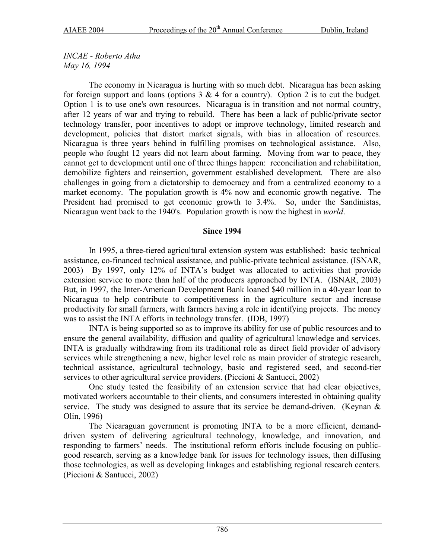*INCAE - Roberto Atha May 16, 1994* 

The economy in Nicaragua is hurting with so much debt. Nicaragua has been asking for foreign support and loans (options  $3 \& 4$  for a country). Option 2 is to cut the budget. Option 1 is to use one's own resources. Nicaragua is in transition and not normal country, after 12 years of war and trying to rebuild. There has been a lack of public/private sector technology transfer, poor incentives to adopt or improve technology, limited research and development, policies that distort market signals, with bias in allocation of resources. Nicaragua is three years behind in fulfilling promises on technological assistance. Also, people who fought 12 years did not learn about farming. Moving from war to peace, they cannot get to development until one of three things happen: reconciliation and rehabilitation, demobilize fighters and reinsertion, government established development. There are also challenges in going from a dictatorship to democracy and from a centralized economy to a market economy. The population growth is 4% now and economic growth negative. The President had promised to get economic growth to 3.4%. So, under the Sandinistas, Nicaragua went back to the 1940's. Population growth is now the highest in *world*.

### **Since 1994**

In 1995, a three-tiered agricultural extension system was established: basic technical assistance, co-financed technical assistance, and public-private technical assistance. (ISNAR, 2003) By 1997, only 12% of INTA's budget was allocated to activities that provide extension service to more than half of the producers approached by INTA. (ISNAR, 2003) But, in 1997, the Inter-American Development Bank loaned \$40 million in a 40-year loan to Nicaragua to help contribute to competitiveness in the agriculture sector and increase productivity for small farmers, with farmers having a role in identifying projects. The money was to assist the INTA efforts in technology transfer. (IDB, 1997)

INTA is being supported so as to improve its ability for use of public resources and to ensure the general availability, diffusion and quality of agricultural knowledge and services. INTA is gradually withdrawing from its traditional role as direct field provider of advisory services while strengthening a new, higher level role as main provider of strategic research, technical assistance, agricultural technology, basic and registered seed, and second-tier services to other agricultural service providers. (Piccioni & Santucci, 2002)

One study tested the feasibility of an extension service that had clear objectives, motivated workers accountable to their clients, and consumers interested in obtaining quality service. The study was designed to assure that its service be demand-driven. (Keynan  $\&$ Olin, 1996)

The Nicaraguan government is promoting INTA to be a more efficient, demanddriven system of delivering agricultural technology, knowledge, and innovation, and responding to farmers' needs. The institutional reform efforts include focusing on publicgood research, serving as a knowledge bank for issues for technology issues, then diffusing those technologies, as well as developing linkages and establishing regional research centers. (Piccioni & Santucci, 2002)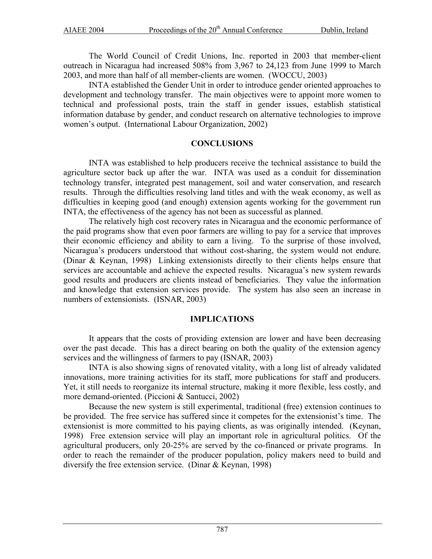The World Council of Credit Unions, Inc. reported in 2003 that member-client outreach in Nicaragua had increased 508% from 3,967 to 24,123 from June 1999 to March 2003, and more than half of all member-clients are women. (WOCCU, 2003)

INTA established the Gender Unit in order to introduce gender oriented approaches to development and technology transfer. The main objectives were to appoint more women to technical and professional posts, train the staff in gender issues, establish statistical information database by gender, and conduct research on alternative technologies to improve women's output. (International Labour Organization, 2002)

## **CONCLUSIONS**

INTA was established to help producers receive the technical assistance to build the agriculture sector back up after the war. INTA was used as a conduit for dissemination technology transfer, integrated pest management, soil and water conservation, and research results. Through the difficulties resolving land titles and with the weak economy, as well as difficulties in keeping good (and enough) extension agents working for the government run INTA, the effectiveness of the agency has not been as successful as planned.

The relatively high cost recovery rates in Nicaragua and the economic performance of the paid programs show that even poor farmers are willing to pay for a service that improves their economic efficiency and ability to earn a living. To the surprise of those involved, Nicaragua's producers understood that without cost-sharing, the system would not endure. (Dinar & Keynan, 1998) Linking extensionists directly to their clients helps ensure that services are accountable and achieve the expected results. Nicaragua's new system rewards good results and producers are clients instead of beneficiaries. They value the information and knowledge that extension services provide. The system has also seen an increase in numbers of extensionists. (ISNAR, 2003)

## **IMPLICATIONS**

It appears that the costs of providing extension are lower and have been decreasing over the past decade. This has a direct bearing on both the quality of the extension agency services and the willingness of farmers to pay (ISNAR, 2003)

INTA is also showing signs of renovated vitality, with a long list of already validated innovations, more training activities for its staff, more publications for staff and producers. Yet, it still needs to reorganize its internal structure, making it more flexible, less costly, and more demand-oriented. (Piccioni & Santucci, 2002)

Because the new system is still experimental, traditional (free) extension continues to be provided. The free service has suffered since it competes for the extensionist's time. The extensionist is more committed to his paying clients, as was originally intended. (Keynan, 1998) Free extension service will play an important role in agricultural politics. Of the agricultural producers, only 20-25% are served by the co-financed or private programs. In order to reach the remainder of the producer population, policy makers need to build and diversify the free extension service. (Dinar & Keynan, 1998)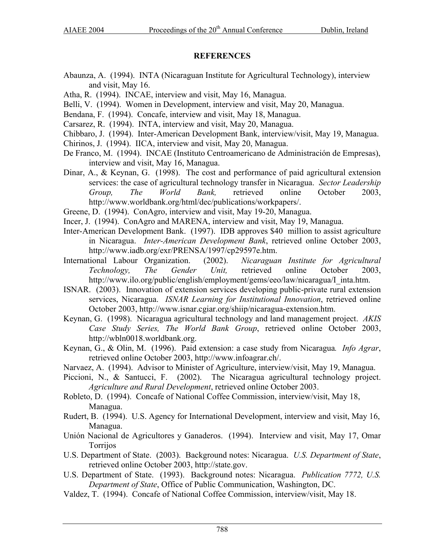### **REFERENCES**

- Abaunza, A. (1994). INTA (Nicaraguan Institute for Agricultural Technology), interview and visit, May 16.
- Atha, R. (1994). INCAE, interview and visit, May 16, Managua.
- Belli, V. (1994). Women in Development, interview and visit, May 20, Managua.
- Bendana, F. (1994). Concafe, interview and visit, May 18, Managua.
- Carsarez, R. (1994). INTA, interview and visit, May 20, Managua.
- Chibbaro, J. (1994). Inter-American Development Bank, interview/visit, May 19, Managua.
- Chirinos, J. (1994). IICA, interview and visit, May 20, Managua.
- De Franco, M. (1994). INCAE (Instituto Centroamericano de Administración de Empresas), interview and visit, May 16, Managua.
- Dinar, A., & Keynan, G. (1998). The cost and performance of paid agricultural extension services: the case of agricultural technology transfer in Nicaragua. *Sector Leadership Group, The World Bank,* retrieved online October 2003, http://www.worldbank.org/html/dec/publications/workpapers/.
- Greene, D. (1994). ConAgro, interview and visit, May 19-20, Managua.
- Incer, J. (1994). ConAgro and MARENA, interview and visit, May 19, Managua.
- Inter-American Development Bank. (1997). IDB approves \$40 million to assist agriculture in Nicaragua. *Inter-American Development Bank*, retrieved online October 2003, http://www.iadb.org/exr/PRENSA/1997/cp29597e.htm.
- International Labour Organization. (2002). *Nicaraguan Institute for Agricultural Technology, The Gender Unit,* retrieved online October 2003, http://www.ilo.org/public/english/employment/gems/eeo/law/nicaragua/I\_inta.htm.
- ISNAR. (2003). Innovation of extension services developing public-private rural extension services, Nicaragua. *ISNAR Learning for Institutional Innovation*, retrieved online October 2003, http://www.isnar.cgiar.org/shiip/nicaragua-extension.htm.
- Keynan, G. (1998). Nicaragua agricultural technology and land management project. *AKIS Case Study Series, The World Bank Group*, retrieved online October 2003, [http://wbln0018.worldbank.org](http://wbln0018.worldbank.org/).
- Keynan, G., & Olin, M. (1996). Paid extension: a case study from Nicaragua*. Info Agrar*, retrieved online October 2003, [http://www.infoagrar.ch/.](http://www.infoagrar.ch/)
- Narvaez, A. (1994). Advisor to Minister of Agriculture, interview/visit, May 19, Managua.
- Piccioni, N., & Santucci, F. (2002). The Nicaragua agricultural technology project. *Agriculture and Rural Development*, retrieved online October 2003.
- Robleto, D. (1994). Concafe of National Coffee Commission, interview/visit, May 18, Managua.
- Rudert, B. (1994). U.S. Agency for International Development, interview and visit, May 16, Managua.
- Unión Nacional de Agricultores y Ganaderos. (1994). Interview and visit, May 17, Omar Torrijos
- U.S. Department of State. (2003). Background notes: Nicaragua. *U.S. Department of State*, retrieved online October 2003, http://state.gov.
- U.S. Department of State. (1993). Background notes: Nicaragua. *Publication 7772, U.S. Department of State*, Office of Public Communication, Washington, DC.
- Valdez, T. (1994). Concafe of National Coffee Commission, interview/visit, May 18.